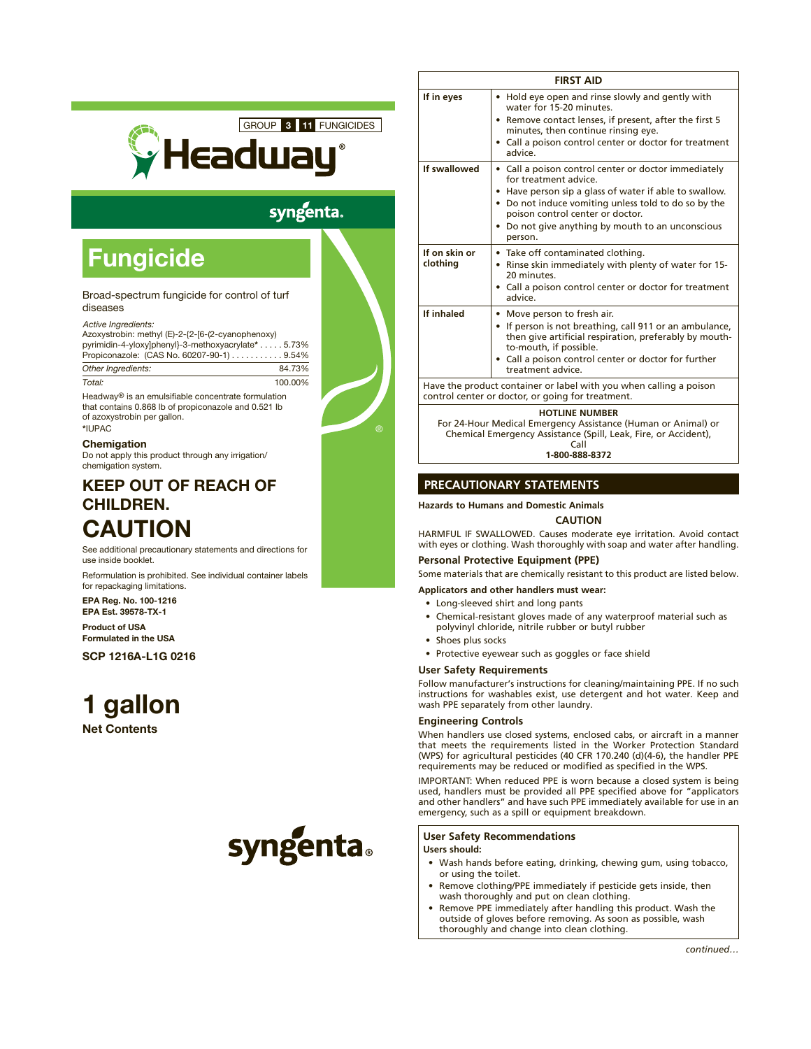

# syngenta.

# **Fungicide**

## Broad-spectrum fungicide for control of turf diseases

# *Active Ingredients:*

Azoxystrobin: methyl (E)-2-{2-[6-(2-cyanophenoxy) pyrimidin-4-yloxy]phenyl}-3-methoxyacrylate\* . . . . . 5.73% Propiconazole: (CAS No. 60207-90-1) . . . . . . . . . . . 9.54% *Other Ingredients:* 84.73% *Total:* 100.00%

Headway® is an emulsifiable concentrate formulation that contains 0.868 lb of propiconazole and 0.521 lb of azoxystrobin per gallon. \*IUPAC

**Chemigation** Do not apply this product through any irrigation/ chemigation system.

# KEEP OUT OF REACH OF CHILDREN.

# CAUTION

See additional precautionary statements and directions for use inside booklet.

Reformulation is prohibited. See individual container labels for repackaging limitations.

EPA Reg. No. 100-1216 EPA Est. 39578-TX-1

Product of USA Formulated in the USA

SCP 1216A-L1G 0216

# 1 gallon

Net Contents

# syngenta.

| <b>FIRST AID</b>          |                                                                                                                                                                                                                                                                                                     |  |
|---------------------------|-----------------------------------------------------------------------------------------------------------------------------------------------------------------------------------------------------------------------------------------------------------------------------------------------------|--|
| If in eyes                | • Hold eye open and rinse slowly and gently with<br>water for 15-20 minutes.<br>• Remove contact lenses, if present, after the first 5<br>minutes, then continue rinsing eye.<br>• Call a poison control center or doctor for treatment<br>advice.                                                  |  |
| If swallowed              | • Call a poison control center or doctor immediately<br>for treatment advice.<br>• Have person sip a glass of water if able to swallow.<br>• Do not induce vomiting unless told to do so by the<br>poison control center or doctor.<br>• Do not give anything by mouth to an unconscious<br>person. |  |
| If on skin or<br>clothing | • Take off contaminated clothing.<br>• Rinse skin immediately with plenty of water for 15-<br>20 minutes.<br>• Call a poison control center or doctor for treatment<br>advice.                                                                                                                      |  |
| If inhaled                | • Move person to fresh air.<br>If person is not breathing, call 911 or an ambulance,<br>then give artificial respiration, preferably by mouth-<br>to-mouth, if possible.<br>• Call a poison control center or doctor for further<br>treatment advice.                                               |  |
|                           | Have the product container or label with you when calling a poison<br>control center or doctor, or going for treatment.                                                                                                                                                                             |  |
|                           | <b>HOTLINE NUMBER</b><br>For 24-Hour Medical Emergency Assistance (Human or Animal) or<br>Chemical Emergency Assistance (Spill, Leak, Fire, or Accident),                                                                                                                                           |  |

Call **1-800-888-8372**

# **PRECAUTIONARY STATEMENTS**

# **Hazards to Humans and Domestic Animals**

**CAUTION**

HARMFUL IF SWALLOWED. Causes moderate eye irritation. Avoid contact with eyes or clothing. Wash thoroughly with soap and water after handling.

# **Personal Protective Equipment (PPE)**

Some materials that are chemically resistant to this product are listed below.

# **Applicators and other handlers must wear:**

• Long-sleeved shirt and long pants

- Chemical-resistant gloves made of any waterproof material such as polyvinyl chloride, nitrile rubber or butyl rubber
- Shoes plus socks
- Protective eyewear such as goggles or face shield

## **User Safety Requirements**

Follow manufacturer's instructions for cleaning/maintaining PPE. If no such instructions for washables exist, use detergent and hot water. Keep and wash PPE separately from other laundry.

# **Engineering Controls**

When handlers use closed systems, enclosed cabs, or aircraft in a manner that meets the requirements listed in the Worker Protection Standard (WPS) for agricultural pesticides (40 CFR 170.240 (d)(4-6), the handler PPE requirements may be reduced or modified as specified in the WPS.

IMPORTANT: When reduced PPE is worn because a closed system is being used, handlers must be provided all PPE specified above for "applicators and other handlers" and have such PPE immediately available for use in an emergency, such as a spill or equipment breakdown.

# **User Safety Recommendations**

# **Users should:**

- • Wash hands before eating, drinking, chewing gum, using tobacco, or using the toilet.
- Remove clothing/PPE immediately if pesticide gets inside, then wash thoroughly and put on clean clothing.
- Remove PPE immediately after handling this product. Wash the outside of gloves before removing. As soon as possible, wash thoroughly and change into clean clothing.

*continued…*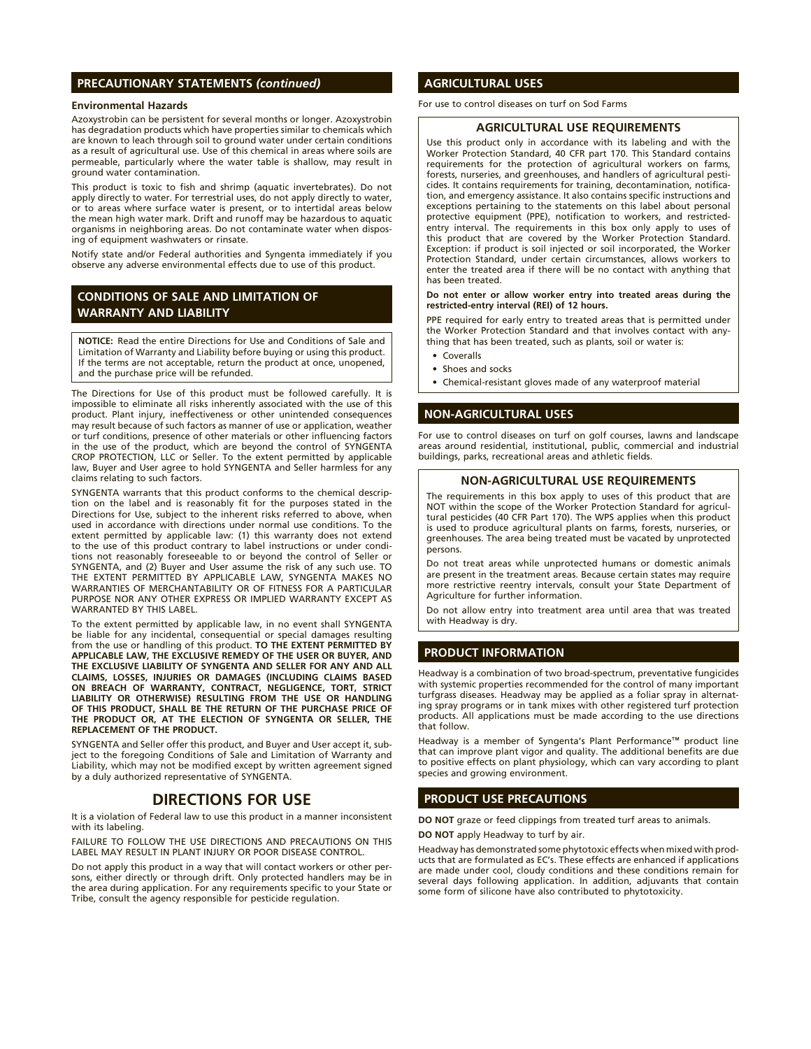# **PRECAUTIONARY STATEMENTS** *(continued)*

#### **Environmental Hazards**

Azoxystrobin can be persistent for several months or longer. Azoxystrobin has degradation products which have properties similar to chemicals which are known to leach through soil to ground water under certain conditions as a result of agricultural use. Use of this chemical in areas where soils are permeable, particularly where the water table is shallow, may result in ground water contamination.

This product is toxic to fish and shrimp (aquatic invertebrates). Do not apply directly to water. For terrestrial uses, do not apply directly to water, or to areas where surface water is present, or to intertidal areas below the mean high water mark. Drift and runoff may be hazardous to aquatic organisms in neighboring areas. Do not contaminate water when disposing of equipment washwaters or rinsate.

Notify state and/or Federal authorities and Syngenta immediately if you observe any adverse environmental effects due to use of this product.

# **CONDITIONS OF SALE AND LIMITATION OF WARRANTY AND LIABILITY**

**NOTICE:** Read the entire Directions for Use and Conditions of Sale and Limitation of Warranty and Liability before buying or using this product. If the terms are not acceptable, return the product at once, unopened, and the purchase price will be refunded.

The Directions for Use of this product must be followed carefully. It is impossible to eliminate all risks inherently associated with the use of this product. Plant injury, ineffectiveness or other unintended consequences may result because of such factors as manner of use or application, weather or turf conditions, presence of other materials or other influencing factors in the use of the product, which are beyond the control of SYNGENTA CROP PROTECTION, LLC or Seller. To the extent permitted by applicable law, Buyer and User agree to hold SYNGENTA and Seller harmless for any claims relating to such factors.

SYNGENTA warrants that this product conforms to the chemical description on the label and is reasonably fit for the purposes stated in the Directions for Use, subject to the inherent risks referred to above, when used in accordance with directions under normal use conditions. To the extent permitted by applicable law: (1) this warranty does not extend to the use of this product contrary to label instructions or under conditions not reasonably foreseeable to or beyond the control of Seller or SYNGENTA, and (2) Buyer and User assume the risk of any such use. TO THE EXTENT PERMITTED BY APPLICABLE LAW, SYNGENTA MAKES NO WARRANTIES OF MERCHANTABILITY OR OF FITNESS FOR A PARTICULAR PURPOSE NOR ANY OTHER EXPRESS OR IMPLIED WARRANTY EXCEPT AS WARRANTED BY THIS LABEL.

To the extent permitted by applicable law, in no event shall SYNGENTA be liable for any incidental, consequential or special damages resulting from the use or handling of this product. **TO THE EXTENT PERMITTED BY APPLICABLE LAW, THE EXCLUSIVE REMEDY OF THE USER OR BUYER, AND THE EXCLUSIVE LIABILITY OF SYNGENTA AND SELLER FOR ANY AND ALL CLAIMS, LOSSES, INJURIES OR DAMAGES (INCLUDING CLAIMS BASED ON BREACH OF WARRANTY, CONTRACT, NEGLIGENCE, TORT, STRICT LIABILITY OR OTHERWISE) RESULTING FROM THE USE OR HANDLING OF THIS PRODUCT, SHALL BE THE RETURN OF THE PURCHASE PRICE OF THE PRODUCT OR, AT THE ELECTION OF SYNGENTA OR SELLER, THE REPLACEMENT OF THE PRODUCT.**

SYNGENTA and Seller offer this product, and Buyer and User accept it, subject to the foregoing Conditions of Sale and Limitation of Warranty and Liability, which may not be modified except by written agreement signed by a duly authorized representative of SYNGENTA.

# **DIRECTIONS FOR USE**

It is a violation of Federal law to use this product in a manner inconsistent with its labeling.

FAILURE TO FOLLOW THE USE DIRECTIONS AND PRECAUTIONS ON THIS LABEL MAY RESULT IN PLANT INJURY OR POOR DISEASE CONTROL.

Do not apply this product in a way that will contact workers or other persons, either directly or through drift. Only protected handlers may be in the area during application. For any requirements specific to your State or Tribe, consult the agency responsible for pesticide regulation.

# **AGRICULTURAL USES**

For use to control diseases on turf on Sod Farms

#### **AGRICULTURAL USE REQUIREMENTS**

Use this product only in accordance with its labeling and with the Worker Protection Standard, 40 CFR part 170. This Standard contains requirements for the protection of agricultural workers on farms, forests, nurseries, and greenhouses, and handlers of agricultural pesticides. It contains requirements for training, decontamination, notification, and emergency assistance. It also contains specific instructions and exceptions pertaining to the statements on this label about personal protective equipment (PPE), notification to workers, and restrictedentry interval. The requirements in this box only apply to uses of this product that are covered by the Worker Protection Standard. Exception: if product is soil injected or soil incorporated, the Worker Protection Standard, under certain circumstances, allows workers to enter the treated area if there will be no contact with anything that has been treated.

**Do not enter or allow worker entry into treated areas during the restricted-entry interval (REI) of 12 hours.**

PPE required for early entry to treated areas that is permitted under the Worker Protection Standard and that involves contact with anything that has been treated, such as plants, soil or water is:

- **Coveralls**
- Shoes and socks
- • Chemical-resistant gloves made of any waterproof material

# **NON-AGRICULTURAL USES**

For use to control diseases on turf on golf courses, lawns and landscape areas around residential, institutional, public, commercial and industrial buildings, parks, recreational areas and athletic fields.

#### **NON-AGRICULTURAL USE REQUIREMENTS**

The requirements in this box apply to uses of this product that are NOT within the scope of the Worker Protection Standard for agricultural pesticides (40 CFR Part 170). The WPS applies when this product is used to produce agricultural plants on farms, forests, nurseries, or greenhouses. The area being treated must be vacated by unprotected persons.

Do not treat areas while unprotected humans or domestic animals are present in the treatment areas. Because certain states may require more restrictive reentry intervals, consult your State Department of Agriculture for further information.

Do not allow entry into treatment area until area that was treated with Headway is dry.

# **PRODUCT INFORMATION**

Headway is a combination of two broad-spectrum, preventative fungicides with systemic properties recommended for the control of many important turfgrass diseases. Headway may be applied as a foliar spray in alternating spray programs or in tank mixes with other registered turf protection products. All applications must be made according to the use directions that follow.

Headway is a member of Syngenta's Plant Performance™ product line that can improve plant vigor and quality. The additional benefits are due to positive effects on plant physiology, which can vary according to plant species and growing environment.

### **PRODUCT USE PRECAUTIONS**

**DO NOT** graze or feed clippings from treated turf areas to animals.

**DO NOT** apply Headway to turf by air.

Headway has demonstrated some phytotoxic effects when mixed with products that are formulated as EC's. These effects are enhanced if applications are made under cool, cloudy conditions and these conditions remain for several days following application. In addition, adjuvants that contain some form of silicone have also contributed to phytotoxicity.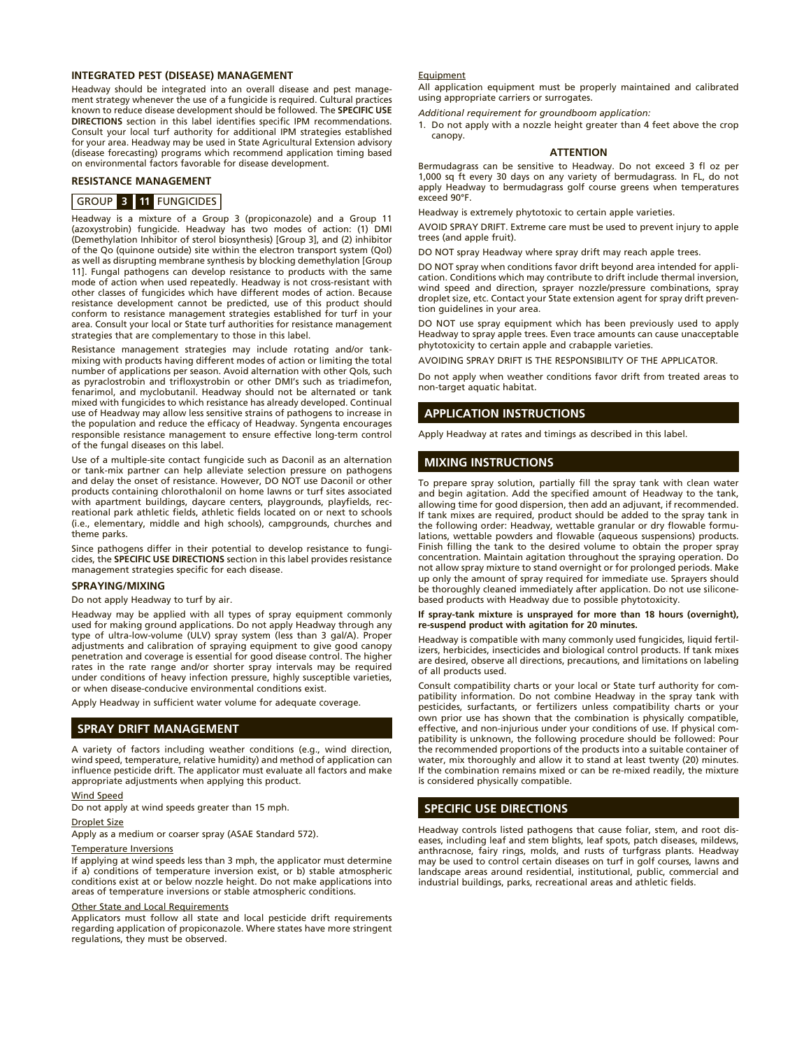#### **INTEGRATED PEST (DISEASE) MANAGEMENT**

Headway should be integrated into an overall disease and pest management strategy whenever the use of a fungicide is required. Cultural practices known to reduce disease development should be followed. The **SPECIFIC USE DIRECTIONS** section in this label identifies specific IPM recommendations. Consult your local turf authority for additional IPM strategies established for your area. Headway may be used in State Agricultural Extension advisory (disease forecasting) programs which recommend application timing based on environmental factors favorable for disease development.

# **RESISTANCE MANAGEMENT**

#### GROUP **3 11** FUNGICIDES

Headway is a mixture of a Group 3 (propiconazole) and a Group 11 (azoxystrobin) fungicide. Headway has two modes of action: (1) DMI (Demethylation Inhibitor of sterol biosynthesis) [Group 3], and (2) inhibitor of the Qo (quinone outside) site within the electron transport system (QoI) as well as disrupting membrane synthesis by blocking demethylation [Group 11]. Fungal pathogens can develop resistance to products with the same mode of action when used repeatedly. Headway is not cross-resistant with other classes of fungicides which have different modes of action. Because resistance development cannot be predicted, use of this product should conform to resistance management strategies established for turf in your area. Consult your local or State turf authorities for resistance management strategies that are complementary to those in this label.

Resistance management strategies may include rotating and/or tankmixing with products having different modes of action or limiting the total number of applications per season. Avoid alternation with other QoIs, such as pyraclostrobin and trifloxystrobin or other DMI's such as triadimefon, fenarimol, and myclobutanil. Headway should not be alternated or tank mixed with fungicides to which resistance has already developed. Continual use of Headway may allow less sensitive strains of pathogens to increase in the population and reduce the efficacy of Headway. Syngenta encourages responsible resistance management to ensure effective long-term control of the fungal diseases on this label.

Use of a multiple-site contact fungicide such as Daconil as an alternation or tank-mix partner can help alleviate selection pressure on pathogens and delay the onset of resistance. However, DO NOT use Daconil or other products containing chlorothalonil on home lawns or turf sites associated with apartment buildings, daycare centers, playgrounds, playfields, recreational park athletic fields, athletic fields located on or next to schools (i.e., elementary, middle and high schools), campgrounds, churches and theme parks.

Since pathogens differ in their potential to develop resistance to fungicides, the **SPECIFIC USE DIRECTIONS** section in this label provides resistance management strategies specific for each disease.

#### **SPRAYING/MIXING**

Do not apply Headway to turf by air.

Headway may be applied with all types of spray equipment commonly used for making ground applications. Do not apply Headway through any type of ultra-low-volume (ULV) spray system (less than 3 gal/A). Proper adjustments and calibration of spraying equipment to give good canopy penetration and coverage is essential for good disease control. The higher rates in the rate range and/or shorter spray intervals may be required under conditions of heavy infection pressure, highly susceptible varieties, or when disease-conducive environmental conditions exist.

Apply Headway in sufficient water volume for adequate coverage.

# **SPRAY DRIFT MANAGEMENT**

A variety of factors including weather conditions (e.g., wind direction, wind speed, temperature, relative humidity) and method of application can influence pesticide drift. The applicator must evaluate all factors and make appropriate adjustments when applying this product.

#### Wind Speed

Do not apply at wind speeds greater than 15 mph.

#### Droplet Size

Apply as a medium or coarser spray (ASAE Standard 572).

#### Temperature Inversions

If applying at wind speeds less than 3 mph, the applicator must determine if a) conditions of temperature inversion exist, or b) stable atmospheric conditions exist at or below nozzle height. Do not make applications into areas of temperature inversions or stable atmospheric conditions.

#### Other State and Local Requirements

Applicators must follow all state and local pesticide drift requirements regarding application of propiconazole. Where states have more stringent regulations, they must be observed.

#### **Equipment**

All application equipment must be properly maintained and calibrated using appropriate carriers or surrogates.

*Additional requirement for groundboom application:*

1. Do not apply with a nozzle height greater than 4 feet above the crop canopy.

#### **ATTENTION**

Bermudagrass can be sensitive to Headway. Do not exceed 3 fl oz per 1,000 sq ft every 30 days on any variety of bermudagrass. In FL, do not apply Headway to bermudagrass golf course greens when temperatures exceed 90°F.

Headway is extremely phytotoxic to certain apple varieties.

AVOID SPRAY DRIFT. Extreme care must be used to prevent injury to apple trees (and apple fruit).

DO NOT spray Headway where spray drift may reach apple trees.

DO NOT spray when conditions favor drift beyond area intended for application. Conditions which may contribute to drift include thermal inversion, wind speed and direction, sprayer nozzle/pressure combinations, spray droplet size, etc. Contact your State extension agent for spray drift prevention guidelines in your area.

DO NOT use spray equipment which has been previously used to apply Headway to spray apple trees. Even trace amounts can cause unacceptable phytotoxicity to certain apple and crabapple varieties.

AVOIDING SPRAY DRIFT IS THE RESPONSIBILITY OF THE APPLICATOR.

Do not apply when weather conditions favor drift from treated areas to non-target aquatic habitat.

# **APPLICATION INSTRUCTIONS**

Apply Headway at rates and timings as described in this label.

#### **MIXING INSTRUCTIONS**

To prepare spray solution, partially fill the spray tank with clean water and begin agitation. Add the specified amount of Headway to the tank, allowing time for good dispersion, then add an adjuvant, if recommended. If tank mixes are required, product should be added to the spray tank in the following order: Headway, wettable granular or dry flowable formulations, wettable powders and flowable (aqueous suspensions) products. Finish filling the tank to the desired volume to obtain the proper spray concentration. Maintain agitation throughout the spraying operation. Do not allow spray mixture to stand overnight or for prolonged periods. Make up only the amount of spray required for immediate use. Sprayers should be thoroughly cleaned immediately after application. Do not use siliconebased products with Headway due to possible phytotoxicity.

#### **If spray-tank mixture is unsprayed for more than 18 hours (overnight), re-suspend product with agitation for 20 minutes.**

Headway is compatible with many commonly used fungicides, liquid fertilizers, herbicides, insecticides and biological control products. If tank mixes are desired, observe all directions, precautions, and limitations on labeling of all products used.

Consult compatibility charts or your local or State turf authority for compatibility information. Do not combine Headway in the spray tank with pesticides, surfactants, or fertilizers unless compatibility charts or your own prior use has shown that the combination is physically compatible, effective, and non-injurious under your conditions of use. If physical compatibility is unknown, the following procedure should be followed: Pour the recommended proportions of the products into a suitable container of water, mix thoroughly and allow it to stand at least twenty (20) minutes. If the combination remains mixed or can be re-mixed readily, the mixture is considered physically compatible.

# **SPECIFIC USE DIRECTIONS**

Headway controls listed pathogens that cause foliar, stem, and root diseases, including leaf and stem blights, leaf spots, patch diseases, mildews, anthracnose, fairy rings, molds, and rusts of turfgrass plants. Headway may be used to control certain diseases on turf in golf courses, lawns and landscape areas around residential, institutional, public, commercial and industrial buildings, parks, recreational areas and athletic fields.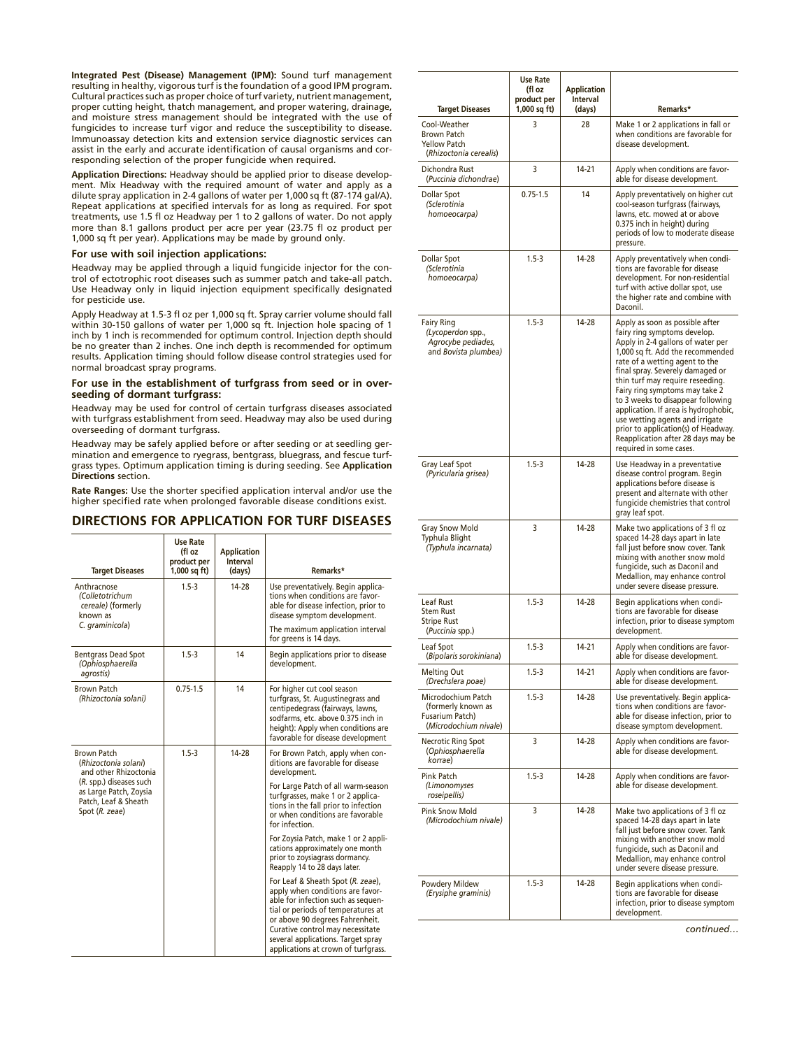**Integrated Pest (Disease) Management (IPM):** Sound turf management resulting in healthy, vigorous turf is the foundation of a good IPM program. Cultural practices such as proper choice of turf variety, nutrient management, proper cutting height, thatch management, and proper watering, drainage, and moisture stress management should be integrated with the use of fungicides to increase turf vigor and reduce the susceptibility to disease. Immunoassay detection kits and extension service diagnostic services can assist in the early and accurate identification of causal organisms and corresponding selection of the proper fungicide when required.

**Application Directions:** Headway should be applied prior to disease development. Mix Headway with the required amount of water and apply as a dilute spray application in 2-4 gallons of water per 1,000 sq ft (87-174 gal/A). Repeat applications at specified intervals for as long as required. For spot treatments, use 1.5 fl oz Headway per 1 to 2 gallons of water. Do not apply more than 8.1 gallons product per acre per year (23.75 fl oz product per 1,000 sq ft per year). Applications may be made by ground only.

#### **For use with soil injection applications:**

Headway may be applied through a liquid fungicide injector for the control of ectotrophic root diseases such as summer patch and take-all patch. Use Headway only in liquid injection equipment specifically designated for pesticide use.

Apply Headway at 1.5-3 fl oz per 1,000 sq ft. Spray carrier volume should fall within 30-150 gallons of water per 1,000 sq ft. Injection hole spacing of 1 inch by 1 inch is recommended for optimum control. Injection depth should be no greater than 2 inches. One inch depth is recommended for optimum results. Application timing should follow disease control strategies used for normal broadcast spray programs.

#### **For use in the establishment of turfgrass from seed or in overseeding of dormant turfgrass:**

Headway may be used for control of certain turfgrass diseases associated with turfgrass establishment from seed. Headway may also be used during overseeding of dormant turfgrass.

Headway may be safely applied before or after seeding or at seedling germination and emergence to ryegrass, bentgrass, bluegrass, and fescue turfgrass types. Optimum application timing is during seeding. See **Application Directions** section.

**Rate Ranges:** Use the shorter specified application interval and/or use the higher specified rate when prolonged favorable disease conditions exist.

# **DIRECTIONS FOR APPLICATION FOR TURF DISEASES**

| <b>Target Diseases</b>                                                                      | <b>Use Rate</b><br>(fl oz<br>product per<br>$1,000$ sq ft) | <b>Application</b><br>Interval<br>(days) | Remarks*                                                                                                                                                                                                                                                                                              |
|---------------------------------------------------------------------------------------------|------------------------------------------------------------|------------------------------------------|-------------------------------------------------------------------------------------------------------------------------------------------------------------------------------------------------------------------------------------------------------------------------------------------------------|
| Anthracnose<br>(Colletotrichum<br>cereale) (formerly<br>known as                            | $1.5 - 3$                                                  | 14-28                                    | Use preventatively. Begin applica-<br>tions when conditions are favor-<br>able for disease infection, prior to<br>disease symptom development.                                                                                                                                                        |
| C. graminicola)                                                                             |                                                            |                                          | The maximum application interval<br>for greens is 14 days.                                                                                                                                                                                                                                            |
| <b>Bentgrass Dead Spot</b><br>(Ophiosphaerella<br>agrostis)                                 | $1.5 - 3$                                                  | 14                                       | Begin applications prior to disease<br>development.                                                                                                                                                                                                                                                   |
| <b>Brown Patch</b><br>(Rhizoctonia solani)                                                  | $0.75 - 1.5$                                               | 14                                       | For higher cut cool season<br>turfgrass, St. Augustinegrass and<br>centipedegrass (fairways, lawns,<br>sodfarms, etc. above 0.375 inch in<br>height): Apply when conditions are<br>favorable for disease development                                                                                  |
| <b>Brown Patch</b><br>(Rhizoctonia solani)<br>and other Rhizoctonia                         | $1.5 - 3$                                                  | 14-28                                    | For Brown Patch, apply when con-<br>ditions are favorable for disease<br>development.                                                                                                                                                                                                                 |
| (R. spp.) diseases such<br>as Large Patch, Zoysia<br>Patch, Leaf & Sheath<br>Spot (R. zeae) |                                                            |                                          | For Large Patch of all warm-season<br>turfgrasses, make 1 or 2 applica-<br>tions in the fall prior to infection<br>or when conditions are favorable<br>for infection.                                                                                                                                 |
|                                                                                             |                                                            |                                          | For Zoysia Patch, make 1 or 2 appli-<br>cations approximately one month<br>prior to zoysiagrass dormancy.<br>Reapply 14 to 28 days later.                                                                                                                                                             |
|                                                                                             |                                                            |                                          | For Leaf & Sheath Spot (R. zeae),<br>apply when conditions are favor-<br>able for infection such as sequen-<br>tial or periods of temperatures at<br>or above 90 degrees Fahrenheit.<br>Curative control may necessitate<br>several applications. Target spray<br>applications at crown of turfgrass. |

| <b>Target Diseases</b>                                                               | <b>Use Rate</b><br>(fl oz<br>product per<br>$1,000$ sq ft) | <b>Application</b><br>Interval<br>(days) | Remarks*                                                                                                                                                                                                                                                                                                                                                                                                                                                                                                     |
|--------------------------------------------------------------------------------------|------------------------------------------------------------|------------------------------------------|--------------------------------------------------------------------------------------------------------------------------------------------------------------------------------------------------------------------------------------------------------------------------------------------------------------------------------------------------------------------------------------------------------------------------------------------------------------------------------------------------------------|
| Cool-Weather<br><b>Brown Patch</b><br><b>Yellow Patch</b><br>(Rhizoctonia cerealis)  | 3                                                          | 28                                       | Make 1 or 2 applications in fall or<br>when conditions are favorable for<br>disease development.                                                                                                                                                                                                                                                                                                                                                                                                             |
| Dichondra Rust<br>(Puccinia dichondrae)                                              | 3                                                          | 14-21                                    | Apply when conditions are favor-<br>able for disease development.                                                                                                                                                                                                                                                                                                                                                                                                                                            |
| Dollar Spot<br>(Sclerotinia<br>homoeocarpa)                                          | $0.75 - 1.5$                                               | 14                                       | Apply preventatively on higher cut<br>cool-season turfgrass (fairways,<br>lawns, etc. mowed at or above<br>0.375 inch in height) during<br>periods of low to moderate disease<br>pressure.                                                                                                                                                                                                                                                                                                                   |
| <b>Dollar Spot</b><br>(Sclerotinia<br>homoeocarpa)                                   | $1.5 - 3$                                                  | 14-28                                    | Apply preventatively when condi-<br>tions are favorable for disease<br>development. For non-residential<br>turf with active dollar spot, use<br>the higher rate and combine with<br>Daconil.                                                                                                                                                                                                                                                                                                                 |
| <b>Fairy Ring</b><br>(Lycoperdon spp.,<br>Agrocybe pediades,<br>and Bovista plumbea) | $1.5 - 3$                                                  | 14-28                                    | Apply as soon as possible after<br>fairy ring symptoms develop.<br>Apply in 2-4 gallons of water per<br>1,000 sq ft. Add the recommended<br>rate of a wetting agent to the<br>final spray. Severely damaged or<br>thin turf may require reseeding.<br>Fairy ring symptoms may take 2<br>to 3 weeks to disappear following<br>application. If area is hydrophobic,<br>use wetting agents and irrigate<br>prior to application(s) of Headway.<br>Reapplication after 28 days may be<br>required in some cases. |
| Gray Leaf Spot<br>(Pyricularia grisea)                                               | $1.5 - 3$                                                  | 14-28                                    | Use Headway in a preventative<br>disease control program. Begin<br>applications before disease is<br>present and alternate with other<br>fungicide chemistries that control<br>gray leaf spot.                                                                                                                                                                                                                                                                                                               |
| <b>Gray Snow Mold</b><br>Typhula Blight<br>(Typhula incarnata)                       | 3                                                          | 14-28                                    | Make two applications of 3 fl oz<br>spaced 14-28 days apart in late<br>fall just before snow cover. Tank<br>mixing with another snow mold<br>fungicide, such as Daconil and<br>Medallion, may enhance control<br>under severe disease pressure.                                                                                                                                                                                                                                                              |
| Leaf Rust<br><b>Stem Rust</b><br><b>Stripe Rust</b><br>(Puccinia spp.)               | $1.5 - 3$                                                  | 14-28                                    | Begin applications when condi-<br>tions are favorable for disease<br>infection, prior to disease symptom<br>development.                                                                                                                                                                                                                                                                                                                                                                                     |
| Leaf Spot<br>(Bipolaris sorokiniana)                                                 | $1.5 - 3$                                                  | 14-21                                    | Apply when conditions are favor-<br>able for disease development.                                                                                                                                                                                                                                                                                                                                                                                                                                            |
| <b>Melting Out</b><br>(Drechslera poae)                                              | $1.5 - 3$                                                  | 14-21                                    | Apply when conditions are favor-<br>able for disease development.                                                                                                                                                                                                                                                                                                                                                                                                                                            |
| Microdochium Patch<br>(formerly known as<br>Fusarium Patch)<br>(Microdochium nivale) | $1.5 - 3$                                                  | 14-28                                    | Use preventatively. Begin applica-<br>tions when conditions are favor-<br>able for disease infection, prior to<br>disease symptom development.                                                                                                                                                                                                                                                                                                                                                               |
| Necrotic Ring Spot<br>(Ophiosphaerella<br>korrae)                                    | 3                                                          | 14-28                                    | Apply when conditions are favor-<br>able for disease development.                                                                                                                                                                                                                                                                                                                                                                                                                                            |
| Pink Patch<br>(Limonomyses<br>roseipellis)                                           | $1.5 - 3$                                                  | 14-28                                    | Apply when conditions are favor-<br>able for disease development.                                                                                                                                                                                                                                                                                                                                                                                                                                            |
| Pink Snow Mold<br>(Microdochium nivale)                                              | 3                                                          | 14-28                                    | Make two applications of 3 fl oz<br>spaced 14-28 days apart in late<br>fall just before snow cover. Tank<br>mixing with another snow mold<br>fungicide, such as Daconil and<br>Medallion, may enhance control<br>under severe disease pressure.                                                                                                                                                                                                                                                              |
| Powdery Mildew<br>(Erysiphe graminis)                                                | $1.5 - 3$                                                  | 14-28                                    | Begin applications when condi-<br>tions are favorable for disease<br>infection, prior to disease symptom<br>development.                                                                                                                                                                                                                                                                                                                                                                                     |

*continued…*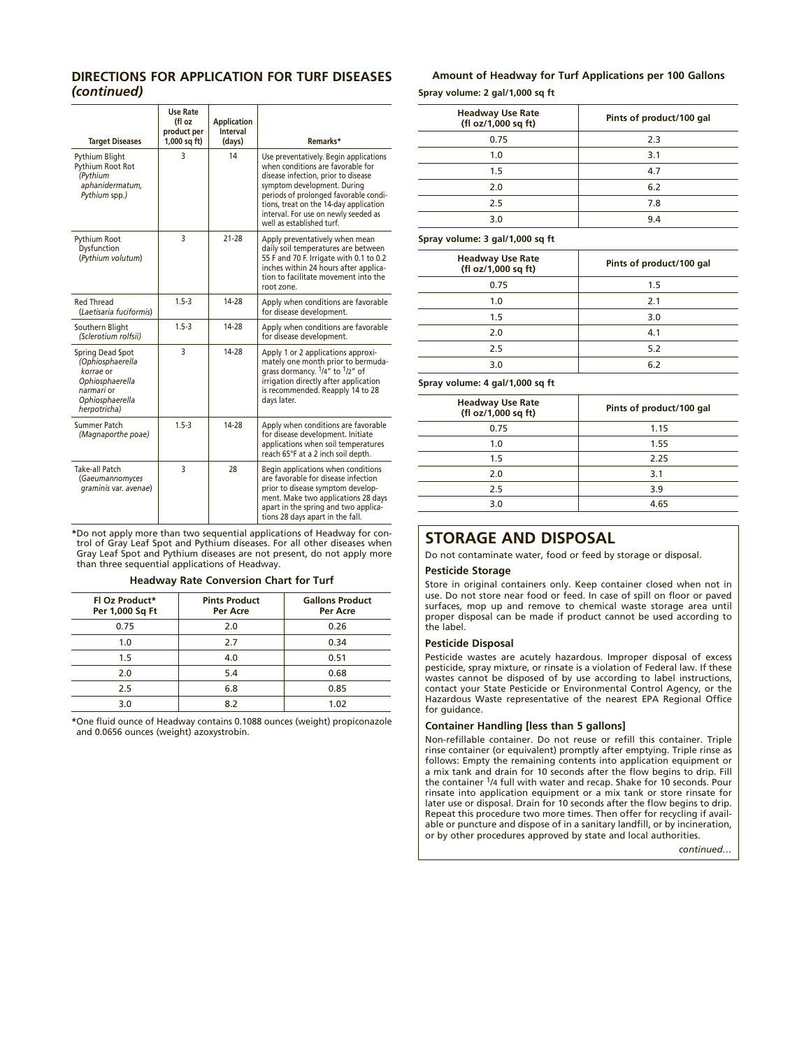# **DIRECTIONS FOR APPLICATION FOR TURF DISEASES**  *(continued)*

| <b>Target Diseases</b>                                                                                                       | <b>Use Rate</b><br>(fl oz<br>product per<br>$1,000$ sq ft) | <b>Application</b><br><b>Interval</b><br>(days) | Remarks*                                                                                                                                                                                                                                                                                                  |
|------------------------------------------------------------------------------------------------------------------------------|------------------------------------------------------------|-------------------------------------------------|-----------------------------------------------------------------------------------------------------------------------------------------------------------------------------------------------------------------------------------------------------------------------------------------------------------|
| <b>Pythium Blight</b><br>Pythium Root Rot<br>(Pythium<br>aphanidermatum,<br>Pythium spp.)                                    | 3                                                          | 14                                              | Use preventatively. Begin applications<br>when conditions are favorable for<br>disease infection, prior to disease<br>symptom development. During<br>periods of prolonged favorable condi-<br>tions, treat on the 14-day application<br>interval. For use on newly seeded as<br>well as established turf. |
| Pythium Root<br>Dysfunction<br>(Pythium volutum)                                                                             | 3                                                          | $21 - 28$                                       | Apply preventatively when mean<br>daily soil temperatures are between<br>55 F and 70 F. Irrigate with 0.1 to 0.2<br>inches within 24 hours after applica-<br>tion to facilitate movement into the<br>root zone.                                                                                           |
| <b>Red Thread</b><br>(Laetisaria fuciformis)                                                                                 | $1.5 - 3$                                                  | 14-28                                           | Apply when conditions are favorable<br>for disease development.                                                                                                                                                                                                                                           |
| Southern Blight<br>(Sclerotium rolfsii)                                                                                      | $1.5 - 3$                                                  | 14-28                                           | Apply when conditions are favorable<br>for disease development.                                                                                                                                                                                                                                           |
| Spring Dead Spot<br>(Ophiosphaerella<br>korrae or<br>Ophiosphaerella<br><i>narmari</i> or<br>Ophiosphaerella<br>herpotricha) | 3                                                          | $14 - 28$                                       | Apply 1 or 2 applications approxi-<br>mately one month prior to bermuda-<br>grass dormancy. $\frac{1}{4}$ to $\frac{1}{2}$ of<br>irrigation directly after application<br>is recommended. Reapply 14 to 28<br>days later.                                                                                 |
| <b>Summer Patch</b><br>(Magnaporthe poae)                                                                                    | $1.5 - 3$                                                  | 14-28                                           | Apply when conditions are favorable<br>for disease development. Initiate<br>applications when soil temperatures<br>reach 65°F at a 2 inch soil depth.                                                                                                                                                     |
| <b>Take-all Patch</b><br>(Gaeumannomyces<br>graminis var. avenae)                                                            | 3                                                          | 28                                              | Begin applications when conditions<br>are favorable for disease infection<br>prior to disease symptom develop-<br>ment. Make two applications 28 days<br>apart in the spring and two applica-<br>tions 28 days apart in the fall.                                                                         |

**\***Do not apply more than two sequential applications of Headway for con-trol of Gray Leaf Spot and Pythium diseases. For all other diseases when Gray Leaf Spot and Pythium diseases are not present, do not apply more than three sequential applications of Headway.

#### **Headway Rate Conversion Chart for Turf**

| Fl Oz Product*<br>Per 1,000 Sq Ft | <b>Pints Product</b><br>Per Acre | <b>Gallons Product</b><br>Per Acre |
|-----------------------------------|----------------------------------|------------------------------------|
| 0.75                              | 2.0                              | 0.26                               |
| 1.0                               | 2.7                              | 0.34                               |
| 1.5                               | 4.0                              | 0.51                               |
| 2.0                               | 5.4                              | 0.68                               |
| 2.5                               | 6.8                              | 0.85                               |
| 3.0                               | 8.2                              | 1.02                               |

**\***One fluid ounce of Headway contains 0.1088 ounces (weight) propiconazole and 0.0656 ounces (weight) azoxystrobin.

# **Amount of Headway for Turf Applications per 100 Gallons Spray volume: 2 gal/1,000 sq ft**

| <b>Headway Use Rate</b><br>(fl oz/1,000 sq ft) | Pints of product/100 gal |
|------------------------------------------------|--------------------------|
| 0.75                                           | 2.3                      |
| 1.0                                            | 3.1                      |
| 1.5                                            | 4.7                      |
| 2.0                                            | 6.2                      |
| 2.5                                            | 7.8                      |
| 3.0                                            | 9.4                      |

#### **Spray volume: 3 gal/1,000 sq ft**

| <b>Headway Use Rate</b><br>(fl oz/1,000 sq ft) | Pints of product/100 gal |
|------------------------------------------------|--------------------------|
| 0.75                                           | 1.5                      |
| 1.0                                            | 2.1                      |
| 1.5                                            | 3.0                      |
| 2.0                                            | 4.1                      |
| 2.5                                            | 5.2                      |
| 3.0                                            | 6.2                      |

**Spray volume: 4 gal/1,000 sq ft**

| <b>Headway Use Rate</b><br>(fl oz/1,000 sq ft) | Pints of product/100 gal |
|------------------------------------------------|--------------------------|
| 0.75                                           | 1.15                     |
| 1.0                                            | 1.55                     |
| 1.5                                            | 2.25                     |
| 2.0                                            | 3.1                      |
| 2.5                                            | 3.9                      |
| 3.0                                            | 4.65                     |
|                                                |                          |

# **STORAGE AND DISPOSAL**

Do not contaminate water, food or feed by storage or disposal.

# **Pesticide Storage**

Store in original containers only. Keep container closed when not in use. Do not store near food or feed. In case of spill on floor or paved surfaces, mop up and remove to chemical waste storage area until proper disposal can be made if product cannot be used according to the label.

#### **Pesticide Disposal**

Pesticide wastes are acutely hazardous. Improper disposal of excess pesticide, spray mixture, or rinsate is a violation of Federal law. If these wastes cannot be disposed of by use according to label instructions, contact your State Pesticide or Environmental Control Agency, or the Hazardous Waste representative of the nearest EPA Regional Office for guidance.

# **Container Handling [less than 5 gallons]**

Non-refillable container. Do not reuse or refill this container. Triple rinse container (or equivalent) promptly after emptying. Triple rinse as follows: Empty the remaining contents into application equipment or a mix tank and drain for 10 seconds after the flow begins to drip. Fill the container 1/4 full with water and recap. Shake for 10 seconds. Pour rinsate into application equipment or a mix tank or store rinsate for later use or disposal. Drain for 10 seconds after the flow begins to drip. Repeat this procedure two more times. Then offer for recycling if available or puncture and dispose of in a sanitary landfill, or by incineration, or by other procedures approved by state and local authorities.

*continued…*